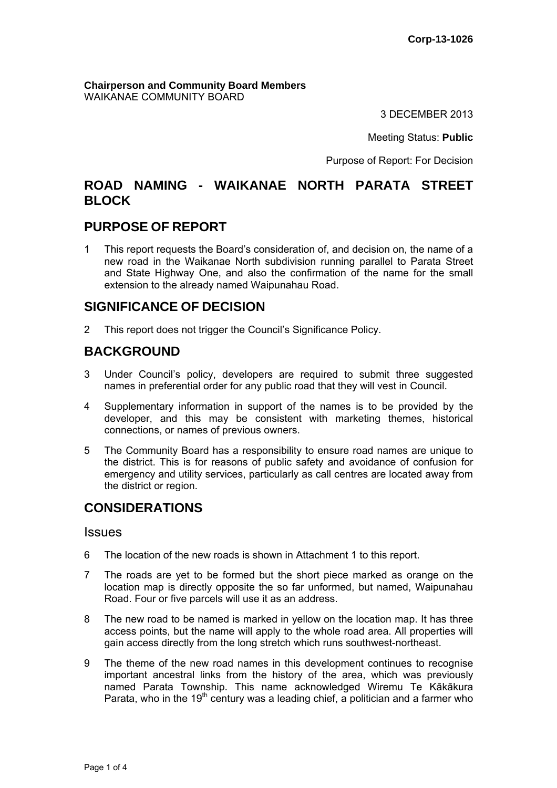**Chairperson and Community Board Members** WAIKANAE COMMUNITY BOARD

3 DECEMBER 2013

Meeting Status: **Public**

Purpose of Report: For Decision

# **ROAD NAMING - WAIKANAE NORTH PARATA STREET BLOCK**

## **PURPOSE OF REPORT**

1 This report requests the Board's consideration of, and decision on, the name of a new road in the Waikanae North subdivision running parallel to Parata Street and State Highway One, and also the confirmation of the name for the small extension to the already named Waipunahau Road.

## **SIGNIFICANCE OF DECISION**

2 This report does not trigger the Council's Significance Policy.

# **BACKGROUND**

- 3 Under Council's policy, developers are required to submit three suggested names in preferential order for any public road that they will vest in Council.
- 4 Supplementary information in support of the names is to be provided by the developer, and this may be consistent with marketing themes, historical connections, or names of previous owners.
- 5 The Community Board has a responsibility to ensure road names are unique to the district. This is for reasons of public safety and avoidance of confusion for emergency and utility services, particularly as call centres are located away from the district or region.

# **CONSIDERATIONS**

#### Issues

- 6 The location of the new roads is shown in Attachment 1 to this report.
- 7 The roads are yet to be formed but the short piece marked as orange on the location map is directly opposite the so far unformed, but named, Waipunahau Road. Four or five parcels will use it as an address.
- 8 The new road to be named is marked in yellow on the location map. It has three access points, but the name will apply to the whole road area. All properties will gain access directly from the long stretch which runs southwest-northeast.
- 9 The theme of the new road names in this development continues to recognise important ancestral links from the history of the area, which was previously named Parata Township. This name acknowledged Wiremu Te Kākākura Parata, who in the 19<sup>th</sup> century was a leading chief, a politician and a farmer who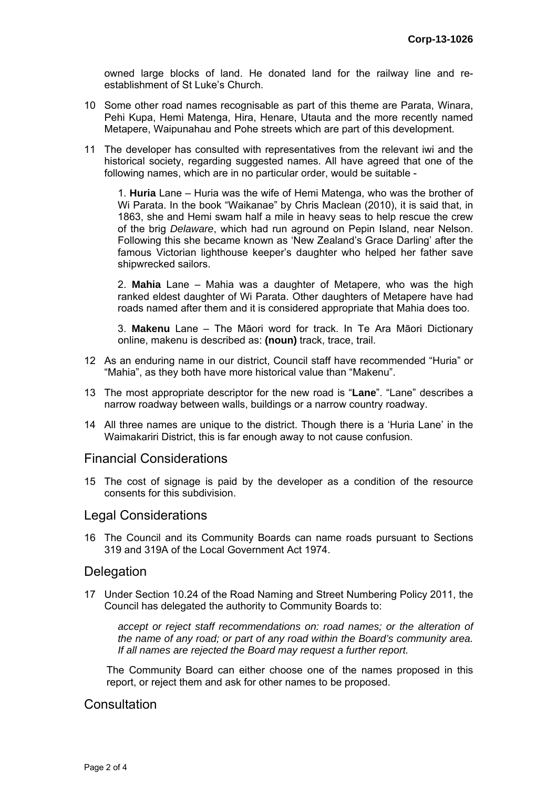owned large blocks of land. He donated land for the railway line and reestablishment of St Luke's Church.

- 10 Some other road names recognisable as part of this theme are Parata, Winara, Pehi Kupa, Hemi Matenga, Hira, Henare, Utauta and the more recently named Metapere, Waipunahau and Pohe streets which are part of this development.
- 11 The developer has consulted with representatives from the relevant iwi and the historical society, regarding suggested names. All have agreed that one of the following names, which are in no particular order, would be suitable -

1. **Huria** Lane – Huria was the wife of Hemi Matenga, who was the brother of Wi Parata. In the book "Waikanae" by Chris Maclean (2010), it is said that, in 1863, she and Hemi swam half a mile in heavy seas to help rescue the crew of the brig *Delaware*, which had run aground on Pepin Island, near Nelson. Following this she became known as 'New Zealand's Grace Darling' after the famous Victorian lighthouse keeper's daughter who helped her father save shipwrecked sailors.

2. **Mahia** Lane – Mahia was a daughter of Metapere, who was the high ranked eldest daughter of Wi Parata. Other daughters of Metapere have had roads named after them and it is considered appropriate that Mahia does too.

3. **Makenu** Lane – The Māori word for track. In Te Ara Māori Dictionary online, makenu is described as: **(noun)** track, trace, trail.

- 12 As an enduring name in our district, Council staff have recommended "Huria" or "Mahia", as they both have more historical value than "Makenu".
- 13 The most appropriate descriptor for the new road is "**Lane**". "Lane" describes a narrow roadway between walls, buildings or a narrow country roadway.
- 14 All three names are unique to the district. Though there is a 'Huria Lane' in the Waimakariri District, this is far enough away to not cause confusion.

#### Financial Considerations

15 The cost of signage is paid by the developer as a condition of the resource consents for this subdivision.

## Legal Considerations

16 The Council and its Community Boards can name roads pursuant to Sections 319 and 319A of the Local Government Act 1974.

#### **Delegation**

17 Under Section 10.24 of the Road Naming and Street Numbering Policy 2011, the Council has delegated the authority to Community Boards to:

*accept or reject staff recommendations on: road names; or the alteration of the name of any road; or part of any road within the Board's community area. If all names are rejected the Board may request a further report.* 

The Community Board can either choose one of the names proposed in this report, or reject them and ask for other names to be proposed.

## **Consultation**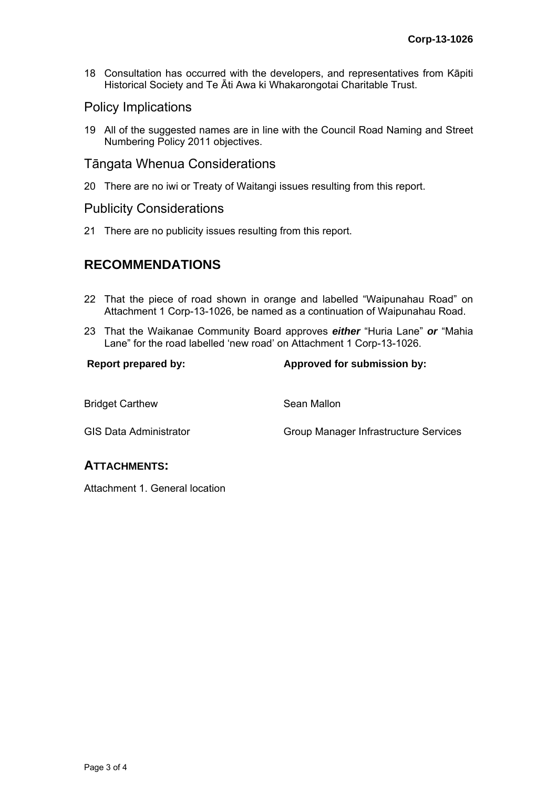18 Consultation has occurred with the developers, and representatives from Kāpiti Historical Society and Te Āti Awa ki Whakarongotai Charitable Trust.

## Policy Implications

19 All of the suggested names are in line with the Council Road Naming and Street Numbering Policy 2011 objectives.

## Tāngata Whenua Considerations

20 There are no iwi or Treaty of Waitangi issues resulting from this report.

#### Publicity Considerations

21 There are no publicity issues resulting from this report.

# **RECOMMENDATIONS**

- 22 That the piece of road shown in orange and labelled "Waipunahau Road" on Attachment 1 Corp-13-1026, be named as a continuation of Waipunahau Road.
- 23 That the Waikanae Community Board approves *either* "Huria Lane" *or* "Mahia Lane" for the road labelled 'new road' on Attachment 1 Corp-13-1026.

#### **Report prepared by: Approved for submission by:**

| <b>Bridget Carthew</b>        | Sean Mallon                           |
|-------------------------------|---------------------------------------|
| <b>GIS Data Administrator</b> | Group Manager Infrastructure Services |

## **ATTACHMENTS:**

Attachment 1. General location